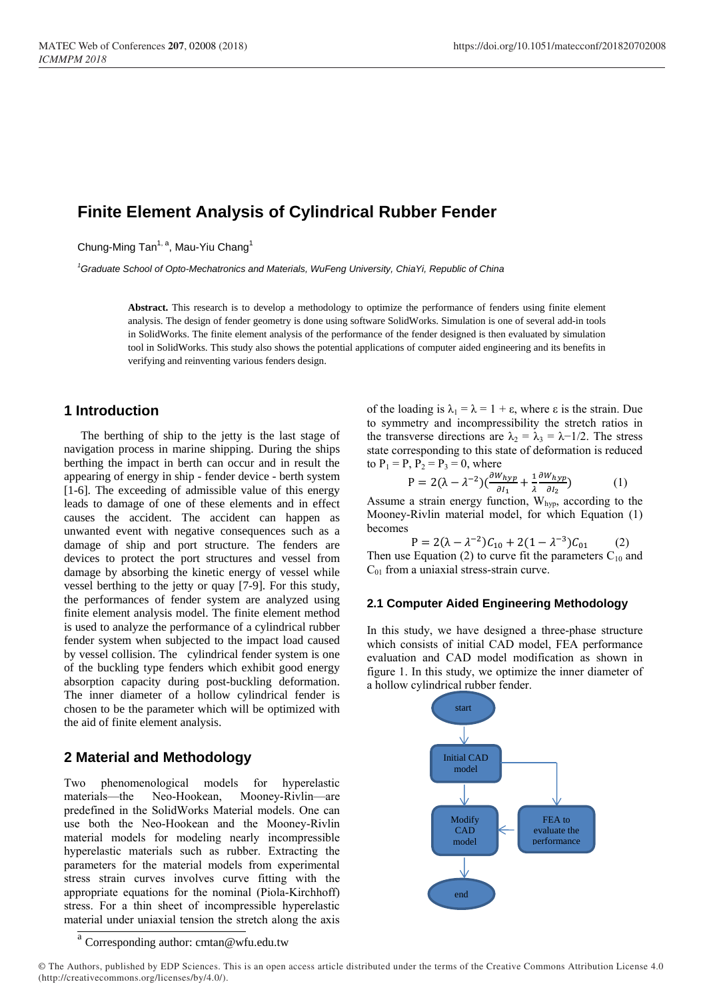# **Finite Element Analysis of Cylindrical Rubber Fender**

Chung-Ming Tan<sup>1, a</sup>, Mau-Yiu Chang<sup>1</sup>

*<sup>1</sup>Graduate School of Opto-Mechatronics and Materials, WuFeng University, ChiaYi, Republic of China*

**Abstract.** This research is to develop a methodology to optimize the performance of fenders using finite element analysis. The design of fender geometry is done using software SolidWorks. Simulation is one of several add-in tools in SolidWorks. The finite element analysis of the performance of the fender designed is then evaluated by simulation tool in SolidWorks. This study also shows the potential applications of computer aided engineering and its benefits in verifying and reinventing various fenders design.

### **1 Introduction**

The berthing of ship to the jetty is the last stage of navigation process in marine shipping. During the ships berthing the impact in berth can occur and in result the appearing of energy in ship - fender device - berth system [1-6]. The exceeding of admissible value of this energy leads to damage of one of these elements and in effect causes the accident. The accident can happen as unwanted event with negative consequences such as a damage of ship and port structure. The fenders are devices to protect the port structures and vessel from damage by absorbing the kinetic energy of vessel while vessel berthing to the jetty or quay [7-9]. For this study, the performances of fender system are analyzed using finite element analysis model. The finite element method is used to analyze the performance of a cylindrical rubber fender system when subjected to the impact load caused by vessel collision. The cylindrical fender system is one of the buckling type fenders which exhibit good energy absorption capacity during post-buckling deformation. The inner diameter of a hollow cylindrical fender is chosen to be the parameter which will be optimized with the aid of finite element analysis.

# **2 Material and Methodology**

Two phenomenological models for hyperelastic materials—the Neo-Hookean, Mooney-Rivlin—are predefined in the SolidWorks Material models. One can use both the Neo-Hookean and the Mooney-Rivlin material models for modeling nearly incompressible hyperelastic materials such as rubber. Extracting the parameters for the material models from experimental stress strain curves involves curve fitting with the appropriate equations for the nominal (Piola-Kirchhoff) stress. For a thin sheet of incompressible hyperelastic material under uniaxial tension the stretch along the axis

of the loading is  $\lambda_1 = \lambda = 1 + \varepsilon$ , where  $\varepsilon$  is the strain. Due to symmetry and incompressibility the stretch ratios in the transverse directions are  $\lambda_2 = \lambda_3 = \lambda - 1/2$ . The stress state corresponding to this state of deformation is reduced to  $P_1 = P$ ,  $P_2 = P_3 = 0$ , where

$$
P = 2(\lambda - \lambda^{-2})\left(\frac{\partial W_{hyp}}{\partial I_1} + \frac{1}{\lambda} \frac{\partial W_{hyp}}{\partial I_2}\right) \tag{1}
$$

Assume a strain energy function,  $W_{hyp}$ , according to the Mooney-Rivlin material model, for which Equation (1) becomes

$$
P = 2(\lambda - \lambda^{-2})C_{10} + 2(1 - \lambda^{-3})C_{01}
$$
 (2)  
Then use Equation (2) to curve fit the parameters C<sub>10</sub> and C<sub>01</sub> from a uniaxial stress-strain curve.

#### **2.1 Computer Aided Engineering Methodology**

In this study, we have designed a three-phase structure which consists of initial CAD model, FEA performance evaluation and CAD model modification as shown in figure 1. In this study, we optimize the inner diameter of a hollow cylindrical rubber fender.



a<br>Corresponding author: cmtan@wfu.edu.tw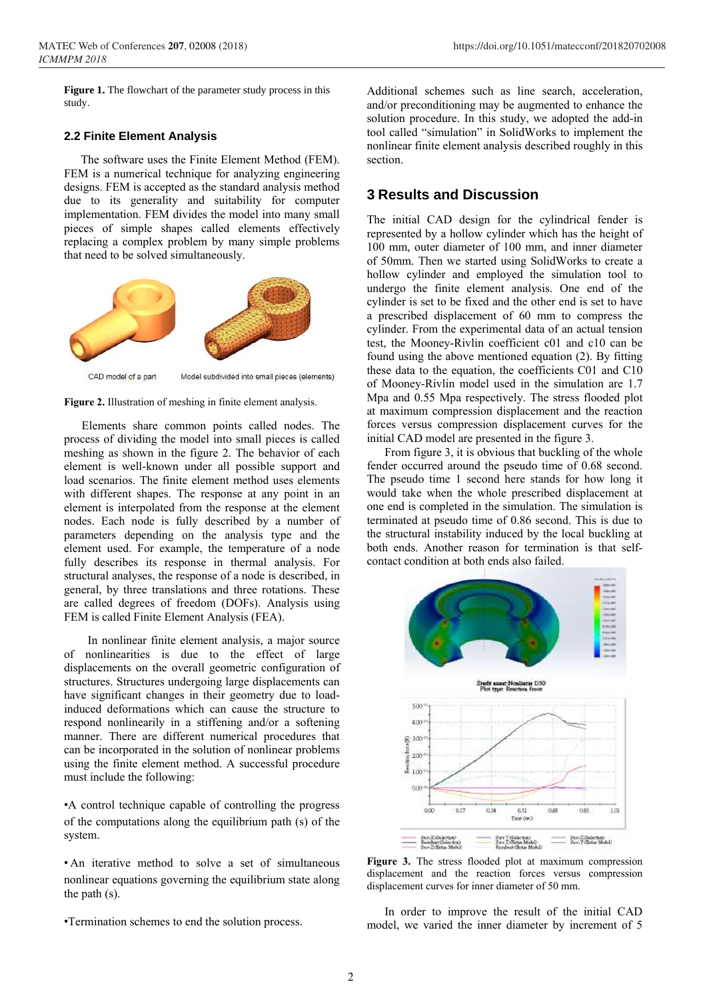**Figure 1.** The flowchart of the parameter study process in this study.

#### **2.2 Finite Element Analysis**

The software uses the Finite Element Method (FEM). FEM is a numerical technique for analyzing engineering designs. FEM is accepted as the standard analysis method due to its generality and suitability for computer implementation. FEM divides the model into many small pieces of simple shapes called elements effectively replacing a complex problem by many simple problems that need to be solved simultaneously.







Elements share common points called nodes. The process of dividing the model into small pieces is called meshing as shown in the figure 2. The behavior of each element is well-known under all possible support and load scenarios. The finite element method uses elements with different shapes. The response at any point in an element is interpolated from the response at the element nodes. Each node is fully described by a number of parameters depending on the analysis type and the element used. For example, the temperature of a node fully describes its response in thermal analysis. For structural analyses, the response of a node is described, in general, by three translations and three rotations. These are called degrees of freedom (DOFs). Analysis using FEM is called Finite Element Analysis (FEA).

In nonlinear finite element analysis, a major source of nonlinearities is due to the effect of large displacements on the overall geometric configuration of structures. Structures undergoing large displacements can have significant changes in their geometry due to loadinduced deformations which can cause the structure to respond nonlinearily in a stiffening and/or a softening manner. There are different numerical procedures that can be incorporated in the solution of nonlinear problems using the finite element method. A successful procedure must include the following:

•A control technique capable of controlling the progress of the computations along the equilibrium path (s) of the system.

• An iterative method to solve a set of simultaneous nonlinear equations governing the equilibrium state along the path (s).

•Termination schemes to end the solution process.

Additional schemes such as line search, acceleration, and/or preconditioning may be augmented to enhance the solution procedure. In this study, we adopted the add-in tool called "simulation" in SolidWorks to implement the nonlinear finite element analysis described roughly in this section.

# **3 Results and Discussion**

The initial CAD design for the cylindrical fender is represented by a hollow cylinder which has the height of 100 mm, outer diameter of 100 mm, and inner diameter of 50mm. Then we started using SolidWorks to create a hollow cylinder and employed the simulation tool to undergo the finite element analysis. One end of the cylinder is set to be fixed and the other end is set to have a prescribed displacement of 60 mm to compress the cylinder. From the experimental data of an actual tension test, the Mooney-Rivlin coefficient c01 and c10 can be found using the above mentioned equation (2). By fitting these data to the equation, the coefficients C01 and C10 of Mooney-Rivlin model used in the simulation are 1.7 Mpa and 0.55 Mpa respectively. The stress flooded plot at maximum compression displacement and the reaction forces versus compression displacement curves for the initial CAD model are presented in the figure 3.

From figure 3, it is obvious that buckling of the whole fender occurred around the pseudo time of 0.68 second. The pseudo time 1 second here stands for how long it would take when the whole prescribed displacement at one end is completed in the simulation. The simulation is terminated at pseudo time of 0.86 second. This is due to the structural instability induced by the local buckling at both ends. Another reason for termination is that selfcontact condition at both ends also failed.



**Figure 3.** The stress flooded plot at maximum compression displacement and the reaction forces versus compression displacement curves for inner diameter of 50 mm.

In order to improve the result of the initial CAD model, we varied the inner diameter by increment of 5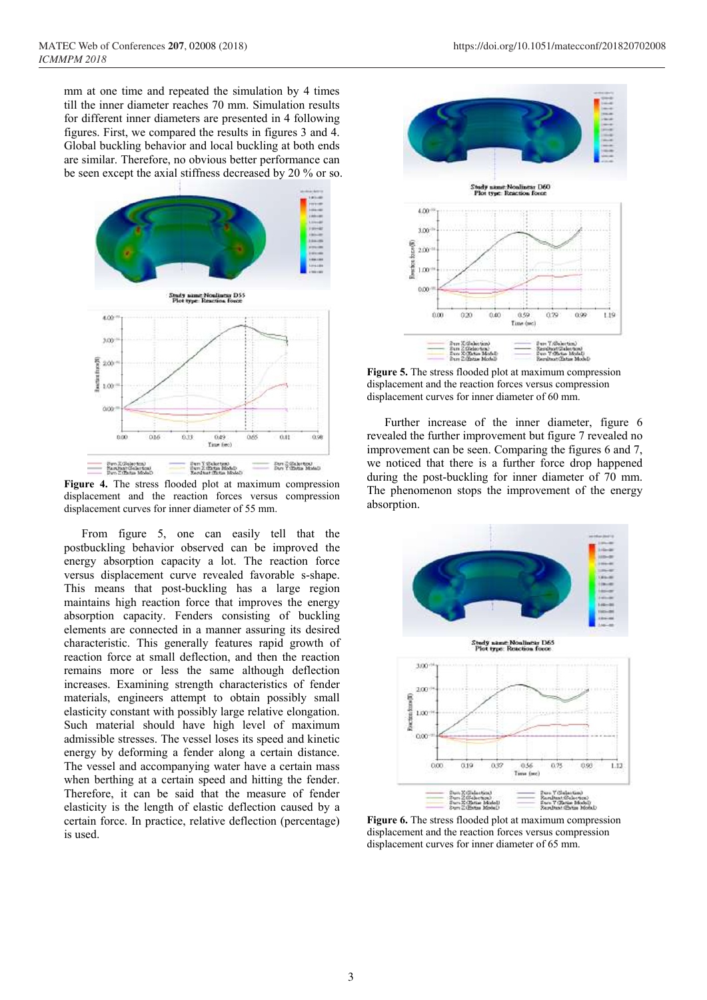mm at one time and repeated the simulation by 4 times till the inner diameter reaches 70 mm. Simulation results for different inner diameters are presented in 4 following figures. First, we compared the results in figures 3 and 4. Global buckling behavior and local buckling at both ends are similar. Therefore, no obvious better performance can be seen except the axial stiffness decreased by 20 % or so.



**Figure 4.** The stress flooded plot at maximum compression displacement and the reaction forces versus compression displacement curves for inner diameter of 55 mm.

From figure 5, one can easily tell that the postbuckling behavior observed can be improved the energy absorption capacity a lot. The reaction force versus displacement curve revealed favorable s-shape. This means that post-buckling has a large region maintains high reaction force that improves the energy absorption capacity. Fenders consisting of buckling elements are connected in a manner assuring its desired characteristic. This generally features rapid growth of reaction force at small deflection, and then the reaction remains more or less the same although deflection increases. Examining strength characteristics of fender materials, engineers attempt to obtain possibly small elasticity constant with possibly large relative elongation. Such material should have high level of maximum admissible stresses. The vessel loses its speed and kinetic energy by deforming a fender along a certain distance. The vessel and accompanying water have a certain mass when berthing at a certain speed and hitting the fender. Therefore, it can be said that the measure of fender elasticity is the length of elastic deflection caused by a certain force. In practice, relative deflection (percentage) is used.



**Figure 5.** The stress flooded plot at maximum compression displacement and the reaction forces versus compression displacement curves for inner diameter of 60 mm.

Further increase of the inner diameter, figure 6 revealed the further improvement but figure 7 revealed no improvement can be seen. Comparing the figures 6 and 7, we noticed that there is a further force drop happened during the post-buckling for inner diameter of 70 mm. The phenomenon stops the improvement of the energy absorption.



**Figure 6.** The stress flooded plot at maximum compression displacement and the reaction forces versus compression displacement curves for inner diameter of 65 mm.